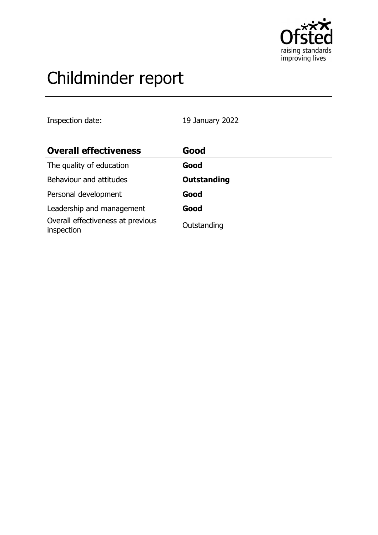

# Childminder report

Inspection date: 19 January 2022

| <b>Overall effectiveness</b>                    | Good               |
|-------------------------------------------------|--------------------|
| The quality of education                        | Good               |
| Behaviour and attitudes                         | <b>Outstanding</b> |
| Personal development                            | Good               |
| Leadership and management                       | Good               |
| Overall effectiveness at previous<br>inspection | Outstanding        |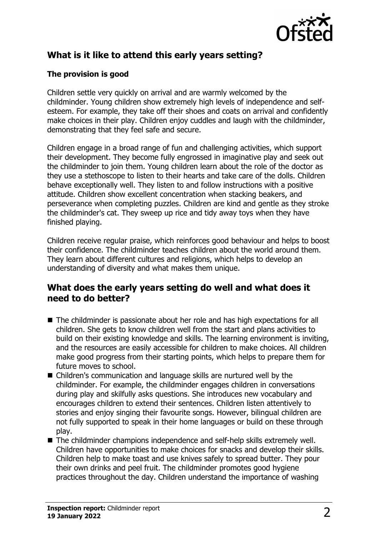

# **What is it like to attend this early years setting?**

#### **The provision is good**

Children settle very quickly on arrival and are warmly welcomed by the childminder. Young children show extremely high levels of independence and selfesteem. For example, they take off their shoes and coats on arrival and confidently make choices in their play. Children enjoy cuddles and laugh with the childminder, demonstrating that they feel safe and secure.

Children engage in a broad range of fun and challenging activities, which support their development. They become fully engrossed in imaginative play and seek out the childminder to join them. Young children learn about the role of the doctor as they use a stethoscope to listen to their hearts and take care of the dolls. Children behave exceptionally well. They listen to and follow instructions with a positive attitude. Children show excellent concentration when stacking beakers, and perseverance when completing puzzles. Children are kind and gentle as they stroke the childminder's cat. They sweep up rice and tidy away toys when they have finished playing.

Children receive regular praise, which reinforces good behaviour and helps to boost their confidence. The childminder teaches children about the world around them. They learn about different cultures and religions, which helps to develop an understanding of diversity and what makes them unique.

### **What does the early years setting do well and what does it need to do better?**

- $\blacksquare$  The childminder is passionate about her role and has high expectations for all children. She gets to know children well from the start and plans activities to build on their existing knowledge and skills. The learning environment is inviting, and the resources are easily accessible for children to make choices. All children make good progress from their starting points, which helps to prepare them for future moves to school.
- $\blacksquare$  Children's communication and language skills are nurtured well by the childminder. For example, the childminder engages children in conversations during play and skilfully asks questions. She introduces new vocabulary and encourages children to extend their sentences. Children listen attentively to stories and enjoy singing their favourite songs. However, bilingual children are not fully supported to speak in their home languages or build on these through play.
- $\blacksquare$  The childminder champions independence and self-help skills extremely well. Children have opportunities to make choices for snacks and develop their skills. Children help to make toast and use knives safely to spread butter. They pour their own drinks and peel fruit. The childminder promotes good hygiene practices throughout the day. Children understand the importance of washing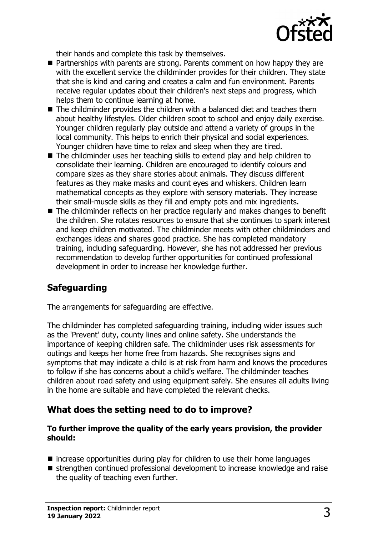

their hands and complete this task by themselves.

- $\blacksquare$  Partnerships with parents are strong. Parents comment on how happy they are with the excellent service the childminder provides for their children. They state that she is kind and caring and creates a calm and fun environment. Parents receive regular updates about their children's next steps and progress, which helps them to continue learning at home.
- $\blacksquare$  The childminder provides the children with a balanced diet and teaches them about healthy lifestyles. Older children scoot to school and enjoy daily exercise. Younger children regularly play outside and attend a variety of groups in the local community. This helps to enrich their physical and social experiences. Younger children have time to relax and sleep when they are tired.
- $\blacksquare$  The childminder uses her teaching skills to extend play and help children to consolidate their learning. Children are encouraged to identify colours and compare sizes as they share stories about animals. They discuss different features as they make masks and count eyes and whiskers. Children learn mathematical concepts as they explore with sensory materials. They increase their small-muscle skills as they fill and empty pots and mix ingredients.
- $\blacksquare$  The childminder reflects on her practice regularly and makes changes to benefit the children. She rotates resources to ensure that she continues to spark interest and keep children motivated. The childminder meets with other childminders and exchanges ideas and shares good practice. She has completed mandatory training, including safeguarding. However, she has not addressed her previous recommendation to develop further opportunities for continued professional development in order to increase her knowledge further.

# **Safeguarding**

The arrangements for safeguarding are effective.

The childminder has completed safeguarding training, including wider issues such as the 'Prevent' duty, county lines and online safety. She understands the importance of keeping children safe. The childminder uses risk assessments for outings and keeps her home free from hazards. She recognises signs and symptoms that may indicate a child is at risk from harm and knows the procedures to follow if she has concerns about a child's welfare. The childminder teaches children about road safety and using equipment safely. She ensures all adults living in the home are suitable and have completed the relevant checks.

## **What does the setting need to do to improve?**

#### **To further improve the quality of the early years provision, the provider should:**

- $\blacksquare$  increase opportunities during play for children to use their home languages
- strengthen continued professional development to increase knowledge and raise the quality of teaching even further.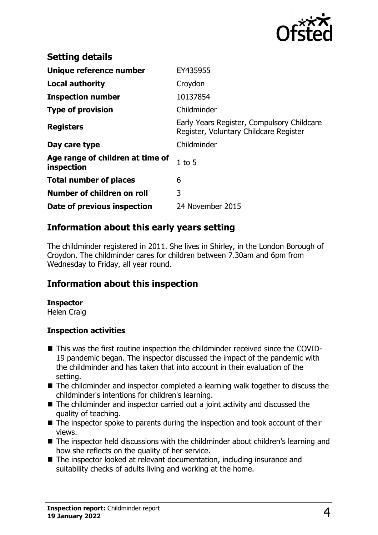

| <b>Setting details</b>                         |                                                                                      |
|------------------------------------------------|--------------------------------------------------------------------------------------|
| Unique reference number                        | EY435955                                                                             |
| <b>Local authority</b>                         | Croydon                                                                              |
| <b>Inspection number</b>                       | 10137854                                                                             |
| <b>Type of provision</b>                       | Childminder                                                                          |
| <b>Registers</b>                               | Early Years Register, Compulsory Childcare<br>Register, Voluntary Childcare Register |
| Day care type                                  | Childminder                                                                          |
| Age range of children at time of<br>inspection | $1$ to $5$                                                                           |
| <b>Total number of places</b>                  | 6                                                                                    |
| Number of children on roll                     | 3                                                                                    |
| Date of previous inspection                    | 24 November 2015                                                                     |

## **Information about this early years setting**

The childminder registered in 2011. She lives in Shirley, in the London Borough of Croydon. The childminder cares for children between 7.30am and 6pm from Wednesday to Friday, all year round.

## **Information about this inspection**

#### **Inspector**

Helen Craig

#### **Inspection activities**

- This was the first routine inspection the childminder received since the COVID-19 pandemic began. The inspector discussed the impact of the pandemic with the childminder and has taken that into account in their evaluation of the setting.
- $\blacksquare$  The childminder and inspector completed a learning walk together to discuss the childminder's intentions for children's learning.
- $\blacksquare$  The childminder and inspector carried out a joint activity and discussed the quality of teaching.
- $\blacksquare$  The inspector spoke to parents during the inspection and took account of their views.
- $\blacksquare$  The inspector held discussions with the childminder about children's learning and how she reflects on the quality of her service.
- The inspector looked at relevant documentation, including insurance and suitability checks of adults living and working at the home.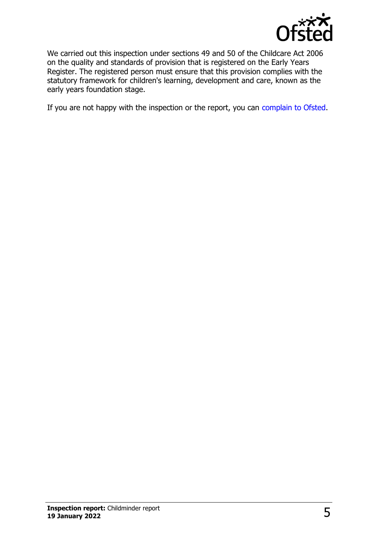

We carried out this inspection under sections 49 and 50 of the Childcare Act 2006 on the quality and standards of provision that is registered on the Early Years Register. The registered person must ensure that this provision complies with the statutory framework for children's learning, development and care, known as the early years foundation stage.

If you are not happy with the inspection or the report, you can [complain to Ofsted](http://www.gov.uk/complain-ofsted-report).